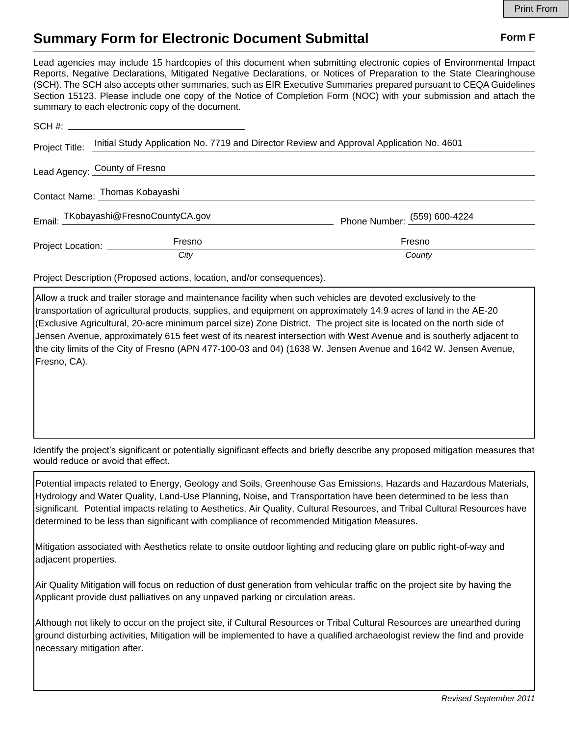## **Summary Form for Electronic Document Submittal Form F Form F**

Lead agencies may include 15 hardcopies of this document when submitting electronic copies of Environmental Impact Reports, Negative Declarations, Mitigated Negative Declarations, or Notices of Preparation to the State Clearinghouse (SCH). The SCH also accepts other summaries, such as EIR Executive Summaries prepared pursuant to CEQA Guidelines Section 15123. Please include one copy of the Notice of Completion Form (NOC) with your submission and attach the summary to each electronic copy of the document.

| Project Title:                 | Initial Study Application No. 7719 and Director Review and Approval Application No. 4601 |                              |
|--------------------------------|------------------------------------------------------------------------------------------|------------------------------|
| Lead Agency: County of Fresno  |                                                                                          |                              |
| Contact Name: Thomas Kobayashi |                                                                                          |                              |
|                                | Email: TKobayashi@FresnoCountyCA.gov                                                     | Phone Number: (559) 600-4224 |
| Project Location: __________   | Fresno                                                                                   | Fresno                       |
|                                | City                                                                                     | County                       |

Project Description (Proposed actions, location, and/or consequences).

Allow a truck and trailer storage and maintenance facility when such vehicles are devoted exclusively to the transportation of agricultural products, supplies, and equipment on approximately 14.9 acres of land in the AE-20 (Exclusive Agricultural, 20-acre minimum parcel size) Zone District. The project site is located on the north side of Jensen Avenue, approximately 615 feet west of its nearest intersection with West Avenue and is southerly adjacent to the city limits of the City of Fresno (APN 477-100-03 and 04) (1638 W. Jensen Avenue and 1642 W. Jensen Avenue, Fresno, CA).

Identify the project's significant or potentially significant effects and briefly describe any proposed mitigation measures that would reduce or avoid that effect.

Potential impacts related to Energy, Geology and Soils, Greenhouse Gas Emissions, Hazards and Hazardous Materials, Hydrology and Water Quality, Land-Use Planning, Noise, and Transportation have been determined to be less than significant. Potential impacts relating to Aesthetics, Air Quality, Cultural Resources, and Tribal Cultural Resources have determined to be less than significant with compliance of recommended Mitigation Measures.

Mitigation associated with Aesthetics relate to onsite outdoor lighting and reducing glare on public right-of-way and adjacent properties.

Air Quality Mitigation will focus on reduction of dust generation from vehicular traffic on the project site by having the Applicant provide dust palliatives on any unpaved parking or circulation areas.

Although not likely to occur on the project site, if Cultural Resources or Tribal Cultural Resources are unearthed during ground disturbing activities, Mitigation will be implemented to have a qualified archaeologist review the find and provide necessary mitigation after.